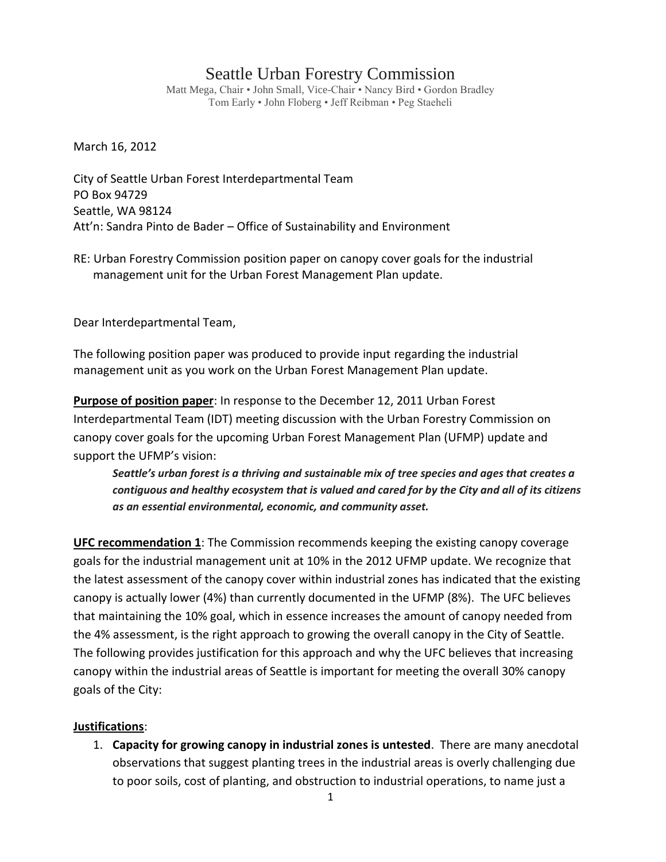## Seattle Urban Forestry Commission

Matt Mega, Chair • John Small, Vice-Chair • Nancy Bird • Gordon Bradley Tom Early • John Floberg • Jeff Reibman • Peg Staeheli

March 16, 2012

City of Seattle Urban Forest Interdepartmental Team PO Box 94729 Seattle, WA 98124 Att'n: Sandra Pinto de Bader – Office of Sustainability and Environment

RE: Urban Forestry Commission position paper on canopy cover goals for the industrial management unit for the Urban Forest Management Plan update.

Dear Interdepartmental Team,

The following position paper was produced to provide input regarding the industrial management unit as you work on the Urban Forest Management Plan update.

**Purpose of position paper**: In response to the December 12, 2011 Urban Forest Interdepartmental Team (IDT) meeting discussion with the Urban Forestry Commission on canopy cover goals for the upcoming Urban Forest Management Plan (UFMP) update and support the UFMP's vision:

*Seattle's urban forest is a thriving and sustainable mix of tree species and ages that creates a contiguous and healthy ecosystem that is valued and cared for by the City and all of its citizens as an essential environmental, economic, and community asset.*

**UFC recommendation 1**: The Commission recommends keeping the existing canopy coverage goals for the industrial management unit at 10% in the 2012 UFMP update. We recognize that the latest assessment of the canopy cover within industrial zones has indicated that the existing canopy is actually lower (4%) than currently documented in the UFMP (8%). The UFC believes that maintaining the 10% goal, which in essence increases the amount of canopy needed from the 4% assessment, is the right approach to growing the overall canopy in the City of Seattle. The following provides justification for this approach and why the UFC believes that increasing canopy within the industrial areas of Seattle is important for meeting the overall 30% canopy goals of the City:

## **Justifications**:

1. **Capacity for growing canopy in industrial zones is untested**. There are many anecdotal observations that suggest planting trees in the industrial areas is overly challenging due to poor soils, cost of planting, and obstruction to industrial operations, to name just a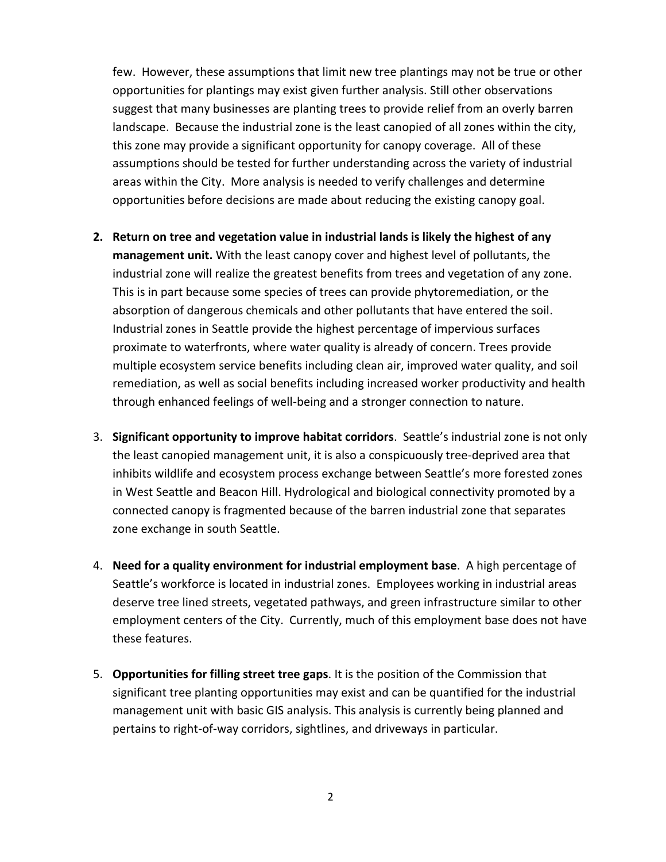few. However, these assumptions that limit new tree plantings may not be true or other opportunities for plantings may exist given further analysis. Still other observations suggest that many businesses are planting trees to provide relief from an overly barren landscape. Because the industrial zone is the least canopied of all zones within the city, this zone may provide a significant opportunity for canopy coverage. All of these assumptions should be tested for further understanding across the variety of industrial areas within the City. More analysis is needed to verify challenges and determine opportunities before decisions are made about reducing the existing canopy goal.

- **2. Return on tree and vegetation value in industrial lands is likely the highest of any management unit.** With the least canopy cover and highest level of pollutants, the industrial zone will realize the greatest benefits from trees and vegetation of any zone. This is in part because some species of trees can provide phytoremediation, or the absorption of dangerous chemicals and other pollutants that have entered the soil. Industrial zones in Seattle provide the highest percentage of impervious surfaces proximate to waterfronts, where water quality is already of concern. Trees provide multiple ecosystem service benefits including clean air, improved water quality, and soil remediation, as well as social benefits including increased worker productivity and health through enhanced feelings of well-being and a stronger connection to nature.
- 3. **Significant opportunity to improve habitat corridors**. Seattle's industrial zone is not only the least canopied management unit, it is also a conspicuously tree-deprived area that inhibits wildlife and ecosystem process exchange between Seattle's more forested zones in West Seattle and Beacon Hill. Hydrological and biological connectivity promoted by a connected canopy is fragmented because of the barren industrial zone that separates zone exchange in south Seattle.
- 4. **Need for a quality environment for industrial employment base**. A high percentage of Seattle's workforce is located in industrial zones. Employees working in industrial areas deserve tree lined streets, vegetated pathways, and green infrastructure similar to other employment centers of the City. Currently, much of this employment base does not have these features.
- 5. **Opportunities for filling street tree gaps**. It is the position of the Commission that significant tree planting opportunities may exist and can be quantified for the industrial management unit with basic GIS analysis. This analysis is currently being planned and pertains to right-of-way corridors, sightlines, and driveways in particular.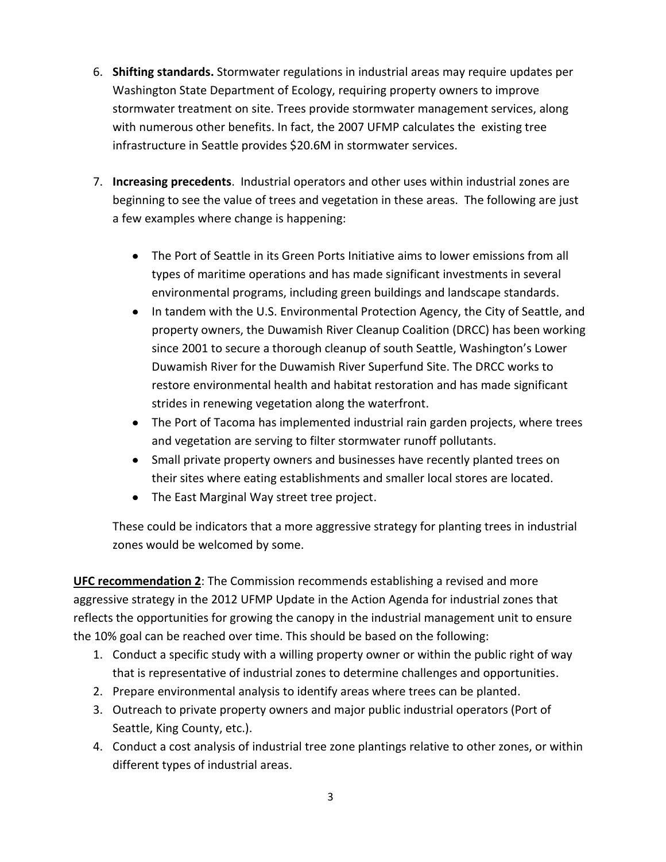- 6. **Shifting standards.** Stormwater regulations in industrial areas may require updates per Washington State Department of Ecology, requiring property owners to improve stormwater treatment on site. Trees provide stormwater management services, along with numerous other benefits. In fact, the 2007 UFMP calculates the existing tree infrastructure in Seattle provides \$20.6M in stormwater services.
- 7. **Increasing precedents**. Industrial operators and other uses within industrial zones are beginning to see the value of trees and vegetation in these areas. The following are just a few examples where change is happening:
	- The Port of Seattle in its Green Ports Initiative aims to lower emissions from all types of maritime operations and has made significant investments in several environmental programs, including green buildings and landscape standards.
	- In tandem with the U.S. Environmental Protection Agency, the City of Seattle, and property owners, the Duwamish River Cleanup Coalition (DRCC) has been working since 2001 to secure a thorough cleanup of south Seattle, Washington's Lower Duwamish River for the Duwamish River Superfund Site. The DRCC works to restore environmental health and habitat restoration and has made significant strides in renewing vegetation along the waterfront.
	- The Port of Tacoma has implemented industrial rain garden projects, where trees and vegetation are serving to filter stormwater runoff pollutants.
	- Small private property owners and businesses have recently planted trees on their sites where eating establishments and smaller local stores are located.
	- The East Marginal Way street tree project.

These could be indicators that a more aggressive strategy for planting trees in industrial zones would be welcomed by some.

**UFC recommendation 2**: The Commission recommends establishing a revised and more aggressive strategy in the 2012 UFMP Update in the Action Agenda for industrial zones that reflects the opportunities for growing the canopy in the industrial management unit to ensure the 10% goal can be reached over time. This should be based on the following:

- 1. Conduct a specific study with a willing property owner or within the public right of way that is representative of industrial zones to determine challenges and opportunities.
- 2. Prepare environmental analysis to identify areas where trees can be planted.
- 3. Outreach to private property owners and major public industrial operators (Port of Seattle, King County, etc.).
- 4. Conduct a cost analysis of industrial tree zone plantings relative to other zones, or within different types of industrial areas.